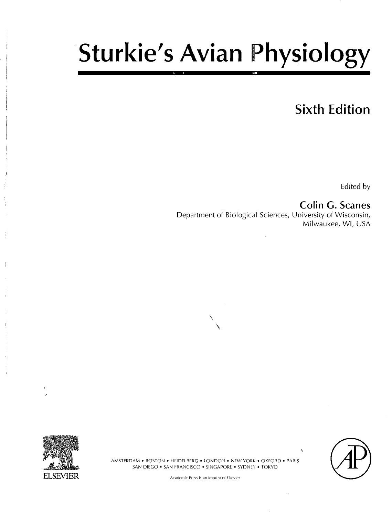# Sturkie's Avian Physiology

# **Sixth Edition**

Edited by

**; Colin G. Scanes**  Department of Biological Sciences, University of Wisconsin, Milwaukee, Wl, USA



**)** 

i.

AMSTERDAM • BOSTON • HEIDELBERG • LONDON • NEW YORK • OXFORD • PARIS SAN DIEGO • SAN FRANCISCO • SINGAPORE • SYDNEY • TOKYO

Academic Press is an imprint of Elsevier

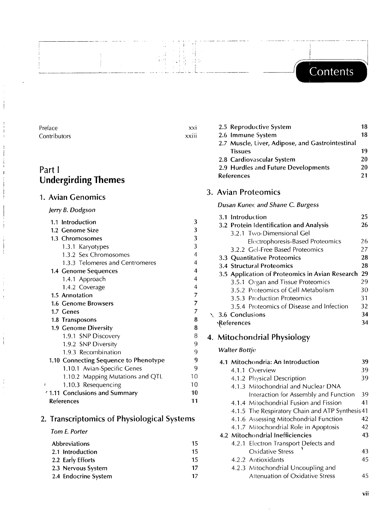## Contents

| Preface      | XXI              | 2.5 F            |
|--------------|------------------|------------------|
| Contributors | $\cdot$<br>XXIII | 2.6 <sub>1</sub> |
|              |                  | 2 Z N            |

 $\frac{1}{4}$  ,  $\frac{1}{2}$ 

국육

크리

### Part I **Undergirding Themes**

### 1. Avian Genomics

### *Jerry B. Dodgson*

| 1.1 Introduction                      | 3  |
|---------------------------------------|----|
| 1.2 Genome Size                       | 3  |
| 1.3 Chromosomes                       | 3  |
| 1.3.1 Karyotypes                      | 3  |
| 1.3.2 Sex Chromosomes                 | 4  |
| 1.3.3 Telomeres and Centromeres       | 4  |
| 1.4 Genome Sequences                  | 4  |
| 1.4.1 Approach                        | 4  |
| 1.4.2 Coverage                        | 4  |
| 1.5 Annotation                        | 7  |
| 1.6 Genome Browsers                   | 7  |
| 1.7 Genes                             | 7  |
| 1.8 Transposons                       | 8  |
| 1.9 Genome Diversity                  | 8  |
| 1.9.1 SNP Discovery                   | 8  |
| 1.9.2 SNP Diversity                   | 9  |
| 1.9.3 Recombination                   | 9  |
| 1.10 Connecting Sequence to Phenotype | 9  |
| 1.10.1 Avian-Specific Genes           | 9  |
| 1.10.2 Mapping Mutations and QTL      | 10 |
| 1.10.3 Resequencing                   | 10 |
| 1.11 Conclusions and Summary          | 10 |
| References                            | 11 |

### 2. Transcriptomics of Physiological Systems

### *Tom E. Porter*

| Abbreviations |                      | 15 |
|---------------|----------------------|----|
|               | 2.1 Introduction     | 15 |
|               | 2.2 Early Efforts    | 15 |
|               | 2.3 Nervous System   | 17 |
|               | 2.4 Endocrine System | 17 |

| 2.5 Reproductive System                          | 18 |
|--------------------------------------------------|----|
| 2.6 Immune System                                | 18 |
| 2.7 Muscle, Liver, Adipose, and Gastrointestinal |    |
| <b>Tissues</b>                                   | 19 |
| 2.8 Cardiovascular System                        | 20 |
| 2.9 Hurdles and Future Developments              | 20 |
| <b>References</b>                                | 21 |

### 3. Avian Proteomics

### *Dusan Kunec and Shane C. Burgess*

|  | 3.1 Introduction                                | 25  |
|--|-------------------------------------------------|-----|
|  | 3.2 Protein Identification and Analysis         | 26  |
|  | 3.2.1 Two-Dimensional Gel                       |     |
|  | Electrophoresis-Based Proteomics                | 26  |
|  | 3.2.2 Gel-Free Based Proteomics                 | 27  |
|  | 3.3 Quantitative Proteomics                     | 28  |
|  | 3.4 Structural Proteomics                       | 28  |
|  | 3.5 Application of Proteomics in Avian Research | -29 |
|  | 3.5.1 Organ and Tissue Proteomics               | 29  |
|  | 3.5.2 Proteomics of Cell Metabolism             | 30  |
|  | 3.5.3 Production Proteomics                     | 31  |
|  | 3.5.4 Proteomics of Disease and Infection       | 32  |
|  | $\setminus$ 3.6 Conclusions                     | 34  |
|  | <b>\References</b>                              | 34  |

### 4. Mitochondrial Physiology

### *Walter Bottje*

| 4.1 Mitochondria: An Introduction<br>39 |                                                  |    |
|-----------------------------------------|--------------------------------------------------|----|
|                                         | 4.1.1 Overview                                   | 39 |
|                                         | 4.1.2 Physical Description                       | 39 |
|                                         | 4.1.3 Mitochondrial and Nuclear DNA              |    |
|                                         | Interaction for Assembly and Function            | 39 |
|                                         | 4.1.4 Mitochondrial Fusion and Fission           | 41 |
|                                         | 4.1.5 The Respiratory Chain and ATP Synthesis 41 |    |
|                                         | 4.1.6 Assessing Mitochondrial Function           | 42 |
|                                         | 4.1.7 Mitochondrial Role in Apoptosis            | 42 |
|                                         | 4.2 Mitochondrial Inefficiencies                 | 43 |
|                                         | 4.2.1 Electron Transport Defects and             |    |
|                                         | <b>Oxidative Stress</b>                          | 43 |
|                                         | 4.2.2 Antioxidants                               | 45 |
| 4.2.3 Mitochondrial Uncoupling and      |                                                  |    |
|                                         | Attenuation of Oxidative Stress                  | 45 |

**vii**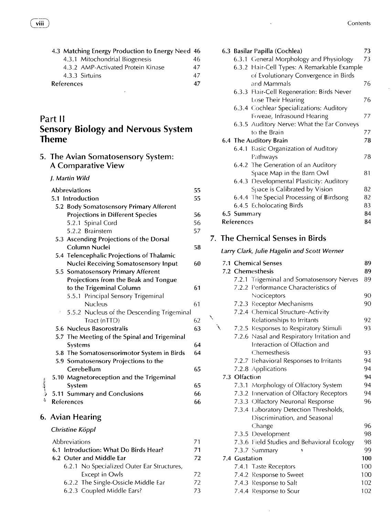| 4.3 Matching Energy Production to Energy Need 46 |    |  |
|--------------------------------------------------|----|--|
| 4.3.1 Mitochondrial Biogenesis                   | 46 |  |
| 4.3.2 AMP-Activated Protein Kinase               | 47 |  |
| 4.3.3 Sirtuins                                   | 47 |  |
| <b>References</b>                                |    |  |

 $\overline{\phantom{a}}$ 

### Part **II**

6.

### **Sensory Biology and Nervous System Theme**

5. The Avian Somatosensory System: A Comparative View

#### *J. Martin Wild*

|              |    | <b>Abbreviations</b>                         | 55 |
|--------------|----|----------------------------------------------|----|
|              |    | 5.1 Introduction                             | 55 |
|              |    | 5.2 Body Somatosensory Primary Afferent      |    |
|              |    | <b>Projections in Different Species</b>      | 56 |
|              |    | 5.2.1 Spinal Cord                            | 56 |
|              |    | 5.2.2 Brainstem                              | 57 |
|              |    | 5.3 Ascending Projections of the Dorsal      |    |
|              |    | Column Nuclei                                | 58 |
|              |    | 5.4 Telencephalic Projections of Thalamic    |    |
|              |    | Nuclei Receiving Somatosensory Input         | 60 |
|              |    | 5.5 Somatosensory Primary Afferent           |    |
|              |    | Projections from the Beak and Tongue         |    |
|              |    | to the Trigeminal Column                     | 61 |
|              |    | 5.5.1 Principal Sensory Trigeminal           |    |
|              |    | <b>Nucleus</b>                               | 61 |
|              | î, | 5.5.2 Nucleus of the Descending Trigeminal   |    |
|              |    | Tract (nTTD)                                 | 62 |
|              |    | 5.6 Nucleus Basorostralis                    | 63 |
|              |    | 5.7 The Meeting of the Spinal and Trigeminal |    |
|              |    | Systems                                      | 64 |
|              |    | 5.8 The Somatosensorimotor System in Birds   | 64 |
|              |    | 5.9 Somatosensory Projections to the         |    |
|              |    | Cerebellum                                   | 65 |
|              |    | 5.10 Magnetoreception and the Trigeminal     |    |
|              |    | System                                       | 65 |
| كالمعاسرين م |    | 5.11 Summary and Conclusions                 | 66 |
|              |    | References                                   | 66 |
|              |    |                                              |    |
|              |    | 6. Avian Hearing                             |    |
|              |    | Christine Köppl                              |    |
|              |    | Abbreviations                                | 71 |
|              |    | a. What Do Diade Hoor<br>C 4 Julie Josefie   | 71 |

| 6.1 Introduction: What Do Birds Hear? |                                            | 71  |
|---------------------------------------|--------------------------------------------|-----|
| 6.2 Outer and Middle Ear              |                                            | 72  |
|                                       | 6.2.1 No Specialized Outer Ear Structures, |     |
|                                       | Except in Owls                             | 72. |
|                                       | 6.2.2 The Single-Ossicle Middle Ear        | 72. |
|                                       | 6.2.3 Coupled Middle Ears?                 | 73. |

|  |               | 6.3 Basilar Papilla (Cochlea)               | 73  |
|--|---------------|---------------------------------------------|-----|
|  |               | 6.3.1 General Morphology and Physiology     | 73  |
|  |               | 6.3.2 Hair-Cell Types: A Remarkable Example |     |
|  |               | of Evolutionary Convergence in Birds        |     |
|  |               | and Mammals                                 | 76  |
|  |               | 6.3.3 Hair-Cell Regeneration: Birds Never   |     |
|  |               | Lose Their Hearing                          | 76  |
|  |               | 6.3.4 Cochlear Specializations: Auditory    |     |
|  |               | Foveae, Infrasound Hearing                  | 77  |
|  |               | 6.3.5 Auditory Nerve: What the Ear Conveys  |     |
|  |               | to the Brain                                | 77  |
|  |               | 6.4 The Auditory Brain                      | 78  |
|  |               | 6.4.1 Basic Organization of Auditory        |     |
|  |               | Pathways                                    | 78  |
|  |               | 6.4.2 The Generation of an Auditory         |     |
|  |               | Space Map in the Barn Owl                   | 81  |
|  |               | 6.4.3 Developmental Plasticity: Auditory    |     |
|  |               | Space is Calibrated by Vision               | 82  |
|  |               | 6.4.4 The Special Processing of Birdsong    | 82  |
|  |               | 6.4.5 Echolocating Birds                    | 83  |
|  | 6.5 Summary   |                                             | 84  |
|  | References    |                                             | 84  |
|  |               |                                             |     |
|  |               | 7. The Chemical Senses in Birds             |     |
|  |               | Larry Clark, Julie Hagelin and Scott Werner |     |
|  |               | 7.1 Chemical Senses                         | 89  |
|  |               | 7.2 Chemesthesis                            | 89  |
|  |               | 7.2.1 Trigeminal and Somatosensory Nerves   | 89  |
|  |               | 7.2.2 Performance Characteristics of        |     |
|  |               | Nociceptors                                 | 90  |
|  |               | 7.2.3 Receptor Mechanisms                   | 90  |
|  |               | 7.2.4 Chemical Structure-Activity           |     |
|  |               | Relationships to Irritants                  | 92  |
|  |               | 7.2.5 Responses to Respiratory Stimuli      | 93  |
|  |               | 7.2.6 Nasal and Respiratory Irritation and  |     |
|  |               | Interaction of Olfaction and                |     |
|  |               | Chemesthesis                                | 93  |
|  |               | 7.2.7 Behavioral Responses to Irritants     | 94  |
|  |               | 7.2.8 Applications                          | 94  |
|  | 7.3 Olfaction |                                             | 94  |
|  |               | 7.3.1 Morphology of Olfactory System        | 94  |
|  |               | 7.3.2 Innervation of Olfactory Receptors    | 94  |
|  |               | 7.3.3 Olfactory Neuronal Response           | 96  |
|  |               |                                             |     |
|  |               | 7.3.4 Laboratory Detection Thresholds,      |     |
|  |               | Discrimination, and Seasonal                |     |
|  |               | Change                                      | 96  |
|  |               | 7.3.5 Development                           | 98  |
|  |               | 7.3.6 Field Studies and Behavioral Ecology  | 98  |
|  |               | 7.3.7 Summary                               | 99  |
|  | 7.4 Gustation |                                             | 100 |
|  |               | 7.4.1 Taste Receptors                       | 100 |
|  |               | 7.4.2 Response to Sweet                     | 100 |

 $\ddot{\phantom{a}}$ 

7.4.3 Response to Salt 102 7.4.4 Response to Sour 102

 $\bar{z}$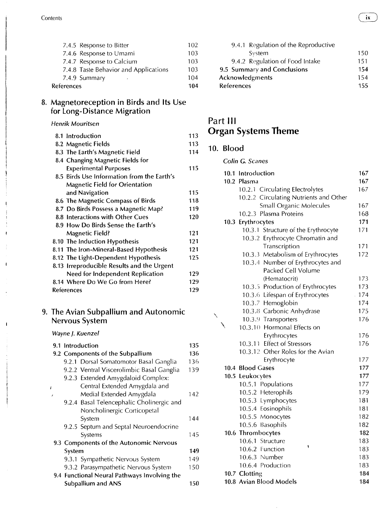|            | 7.4.5 Response to Bitter              | 102 |
|------------|---------------------------------------|-----|
|            | 7.4.6 Response to Umami               | 103 |
|            | 7.4.7 Response to Calcium             | 103 |
|            | 7.4.8 Taste Behavior and Applications | 103 |
|            | 7.4.9 Summary<br>$\epsilon$           | 104 |
| References |                                       | 104 |

### 8. Magnetoreception in Birds and Its Use for Long-Distance Migration

#### *Henrik Mouritsen*

| 8.1 Introduction                           | 113 |
|--------------------------------------------|-----|
| 8.2 Magnetic Fields                        | 113 |
| 8.3 The Earth's Magnetic Field             | 114 |
| 8.4 Changing Magnetic Fields for           |     |
| <b>Experimental Purposes</b>               | 115 |
| 8.5 Birds Use Information from the Earth's |     |
| <b>Magnetic Field for Orientation</b>      |     |
| and Navigation                             | 115 |
| 8.6 The Magnetic Compass of Birds          | 118 |
| 8.7 Do Birds Possess a Magnetic Map?       | 119 |
| 8.8 Interactions with Other Cues           | 120 |
| 8.9 How Do Birds Sense the Earth's         |     |
| <b>Magnetic Field?</b>                     | 121 |
| 8.10 The Induction Hypothesis              | 121 |
| 8.11 The Iron-Mineral-Based Hypothesis     | 121 |
| 8.12 The Light-Dependent Hypothesis        | 125 |
| 8.13 Irreproducible Results and the Urgent |     |
| Need for Independent Replication           | 129 |
| 8.14 Where Do We Go from Here?             | 129 |
| <b>References</b>                          | 129 |

### 9. The Avian Subpallium and Autonomic Nervous System

*Wayne J. Kuenzel* 

 $\mathbf{r}$ 

 $\mathbf{I}$ 

|    |        | 9.1 Introduction                             | 135 |
|----|--------|----------------------------------------------|-----|
|    |        | 9.2 Components of the Subpallium             | 136 |
|    |        | 9.2.1 Dorsal Somatomotor Basal Ganglia       | 136 |
|    |        | 9.2.2 Ventral Viscerolimbic Basal Ganglia    | 139 |
|    |        | 9.2.3 Extended Amygdaloid Complex:           |     |
| f. |        | Central Extended Amygdala and                |     |
| ,  |        | Medial Extended Amygdala                     | 142 |
|    |        | 9.2.4 Basal Telencephalic Cholinergic and    |     |
|    |        | Noncholinergic Corticopetal                  |     |
|    |        | System                                       | 144 |
|    |        | 9.2.5 Septum and Septal Neuroendocrine       |     |
|    |        | Systems                                      | 145 |
|    |        | 9.3 Components of the Autonomic Nervous      |     |
|    | System |                                              | 149 |
|    |        | 9.3.1 Sympathetic Nervous System             | 149 |
|    |        | 9.3.2 Parasympathetic Nervous System         | 150 |
|    |        | 9.4 Functional Neural Pathways Involving the |     |
|    |        | Subpallium and ANS                           | 150 |

| 9.4.1 Regulation of the Reproductive |     |
|--------------------------------------|-----|
| System                               | 150 |
| 9.4.2 Regulation of Food Intake      | 151 |
| 9.5 Summary and Conclusions          | 154 |
| Acknowledgments                      | 154 |
| <b>References</b>                    | 155 |

### Part **III Organ Systems Theme**

### 10. Blood

### *Colin* **G.** *Scanes*

|  | 10.1 Introduction                      | 167 |
|--|----------------------------------------|-----|
|  | 10.2 Plasma                            | 167 |
|  | 10.2.1 Circulating Electrolytes        | 167 |
|  | 10.2.2 Circulating Nutrients and Other |     |
|  | Small Organic Molecules                | 167 |
|  | 10.2.3 Plasma Proteins                 | 168 |
|  | 10.3 Erythrocytes                      | 171 |
|  | 10.3.1 Structure of the Erythrocyte    | 171 |
|  | 10.3.2 Erythrocyte Chromatin and       |     |
|  | Transcription                          | 171 |
|  | 10.3.3 Metabolism of Erythrocytes      | 172 |
|  | 10.3.4 Number of Erythrocytes and      |     |
|  | Packed Cell Volume                     |     |
|  | (Hematocrit)                           | 173 |
|  | 10.3.5 Production of Erythrocytes      | 173 |
|  | 10.3.6 Lifespan of Erythrocytes        | 174 |
|  | 10.3.7 Hemoglobin                      | 174 |
|  | 10.3.8 Carbonic Anhydrase              | 175 |
|  | 10.3.9 Transporters                    | 176 |
|  | 10.3.10 Hormonal Effects on            |     |
|  | Erythrocytes                           | 176 |
|  | 10.3.11 Effect of Stressors            | 176 |
|  | 10.3.12 Other Roles for the Avian      |     |
|  | Erythrocyte                            | 177 |
|  | 10.4 Blood Gases                       | 177 |
|  | 10.5 Leukocytes                        | 177 |
|  | 10.5.1 Populations                     | 177 |
|  | 10.5.2 Heterophils                     | 179 |
|  | 10.5.3 Lymphocytes                     | 181 |
|  | 10.5.4 Eosinophils                     | 181 |
|  | 10.5.5 Monocytes                       | 182 |
|  | 10.5.6 Basophils                       | 182 |
|  | 10.6 Thrombocytes                      | 182 |
|  | 10.6.1 Structure                       | 183 |
|  | 10.6.2 Function                        | 183 |
|  | 10.6.3 Number                          | 183 |
|  | 10.6.4 Production                      | 183 |
|  | 10.7 Clotting                          | 184 |
|  | 10.8 Avian Blood Models                | 184 |

 $\mathbf{i} \mathbf{x}$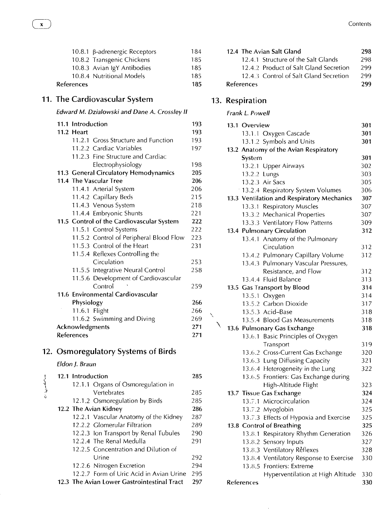|            | 10.8.2 Transgenic Chickens                               | 185<br>185 |
|------------|----------------------------------------------------------|------------|
|            | 10.8.3 Avian IgY Antibodies<br>10.8.4 Nutritional Models | 185        |
| References |                                                          | 185        |

### 11. The Cardiovascular System

### *Edward M. Dzialowski and Dane A. Crossley II*

| 11.1 Introduction |                                           | 193 |
|-------------------|-------------------------------------------|-----|
| 11.2 Heart        |                                           | 193 |
|                   | 11.2.1 Gross Structure and Function       | 193 |
|                   | 11.2.2 Cardiac Variables                  | 197 |
|                   | 11.2.3 Fine Structure and Cardiac         |     |
|                   | Electrophysiology                         | 198 |
|                   | 11.3 General Circulatory Hemodynamics     | 205 |
|                   | 11.4 The Vascular Tree                    | 206 |
|                   | 11.4.1 Arterial System                    | 206 |
|                   | 11.4.2 Capillary Beds                     | 215 |
|                   | 11.4.3 Venous System                      | 218 |
|                   | 11.4.4 Embryonic Shunts                   | 221 |
|                   | 11.5 Control of the Cardiovascular System | 222 |
|                   | 11.5.1 Control Systems                    | 222 |
|                   | 11.5.2 Control of Peripheral Blood Flow   | 223 |
|                   | 11.5.3 Control of the Heart               | 231 |
|                   | 11.5.4 Reflexes Controlling the           |     |
|                   | Circulation                               | 253 |
|                   | 11.5.5 Integrative Neural Control         | 258 |
|                   | 11.5.6 Development of Cardiovascular      |     |
|                   | Control                                   | 259 |
|                   | 11.6 Environmental Cardiovascular         |     |
| Physiology        |                                           | 266 |
| 11.6.1 Flight     |                                           | 266 |
|                   | 11.6.2 Swimming and Diving                | 269 |
| Acknowledgments   |                                           | 271 |
| References        |                                           | 271 |

### 12. Osmoregulatory Systems of Birds

### *Eldon J. Braun*

|              | 12.1 Introduction                           | 285 |
|--------------|---------------------------------------------|-----|
| وسرمقسون بره | 12.1.1 Organs of Osmoregulation in          |     |
|              | Vertebrates                                 | 285 |
|              | 12.1.2 Osmoregulation by Birds              | 285 |
|              | 12.2 The Avian Kidney                       | 286 |
|              | 12.2.1 Vascular Anatomy of the Kidney       | 287 |
|              | 12.2.2 Glomerular Filtration                | 289 |
|              | 12.2.3 Ion Transport by Renal Tubules       | 290 |
|              | 12.2.4 The Renal Medulla                    | 291 |
|              | 12.2.5 Concentration and Dilution of        |     |
|              | Urine                                       | 292 |
|              | 12.2.6 Nitrogen Excretion                   | 294 |
|              | 12.2.7 Form of Uric Acid in Avian Urine     | 295 |
|              | 12.3 The Avian Lower Gastrointestinal Tract | 297 |

| 12.4 The Avian Salt Gland              | 298 |
|----------------------------------------|-----|
| 12.4.1 Structure of the Salt Glands    | 298 |
| 12.4.2 Product of Salt Gland Secretion | 299 |
| 12.4.3 Control of Salt Gland Secretion | 299 |
| <b>References</b>                      | 299 |

### 13. Respiration

#### *Frank L. Powell*

|  | 13.1 Overview |                                            | 301 |
|--|---------------|--------------------------------------------|-----|
|  |               | 13.1.1 Oxygen Cascade                      | 301 |
|  |               | 13.1.2 Symbols and Units                   | 301 |
|  |               | 13.2 Anatomy of the Avian Respiratory      |     |
|  | System        |                                            | 301 |
|  |               | 13.2.1 Upper Airways                       | 302 |
|  | 13.2.2 Lungs  |                                            | 303 |
|  |               | 13.2.3 Air Sacs                            | 305 |
|  |               | 13.2.4 Respiratory System Volumes          | 306 |
|  |               | 13.3 Ventilation and Respiratory Mechanics | 307 |
|  |               | 13.3.1 Respiratory Muscles                 | 307 |
|  |               | 13.3.2 Mechanical Properties               | 307 |
|  |               | 13.3.3 Ventilatory Flow Patterns           | 309 |
|  |               | 13.4 Pulmonary Circulation                 | 312 |
|  |               | 13.4.1 Anatomy of the Pulmonary            |     |
|  |               | Circulation                                | 312 |
|  |               | 13.4.2 Pulmonary Capillary Volume          | 312 |
|  |               | 13.4.3 Pulmonary Vascular Pressures,       |     |
|  |               | Resistance, and Flow                       | 312 |
|  |               | 13.4.4 Fluid Balance                       | 313 |
|  |               | 13.5 Gas Transport by Blood                | 314 |
|  |               | 13.5.1 Oxygen                              | 314 |
|  |               | 13.5.2 Carbon Dioxide                      | 317 |
|  |               | 13.5.3 Acid-Base                           | 318 |
|  |               | 13.5.4 Blood Gas Measurements              | 318 |
|  |               | 13.6 Pulmonary Gas Exchange                | 318 |
|  |               | 13.6.1 Basic Principles of Oxygen          |     |
|  |               | Transport                                  | 319 |
|  |               | 13.6.2 Cross-Current Gas Exchange          | 320 |
|  |               | 13.6.3 Lung Diffusing Capacity             | 321 |
|  |               | 13.6.4 Heterogeneity in the Lung           | 322 |
|  |               | 13.6.5 Frontiers: Gas Exchange during      |     |
|  |               | High-Altitude Flight                       | 323 |
|  |               | 13.7 Tissue Gas Exchange                   | 324 |
|  |               | 13.7.1 Microcirculation                    | 324 |
|  |               | 13.7.2 Myoglobin                           | 325 |
|  |               | 13.7.3 Effects of Hypoxia and Exercise     | 325 |
|  |               | 13.8 Control of Breathing                  | 325 |
|  |               | 13.8.1 Respiratory Rhythm Generation       | 326 |
|  |               | 13.8.2 Sensory Inputs                      | 327 |
|  |               | 13.8.3 Ventilatory Reflexes                | 328 |
|  |               | 13.8.4 Ventilatory Response to Exercise    | 330 |
|  |               | 13.8.5 Frontiers: Extreme                  |     |
|  |               | Hyperventilation at High Altitude          | 330 |
|  | References    |                                            | 330 |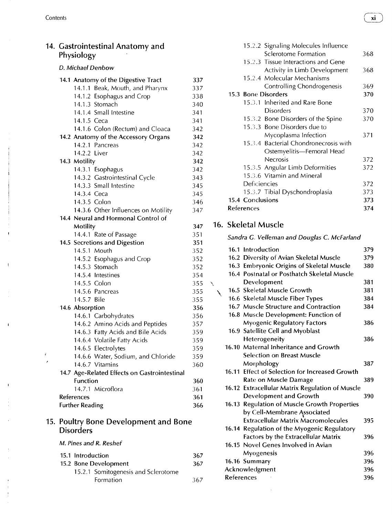$\bar{\mathfrak{h}}$ 

 $\mathbf{I}$ 

|   | 14. Gastrointestinal Anatomy and<br>Physiology |            | 15.2.2 Signaling Molecules Influence<br>Sclerotome Formation           |
|---|------------------------------------------------|------------|------------------------------------------------------------------------|
|   | D. Michael Denbow                              |            | 15.2.3 Tissue Interactions and Gene<br>Activity in Limb Development    |
|   | 14.1 Anatomy of the Digestive Tract            | 337        | 15.2.4 Molecular Mechanisms                                            |
|   | 14.1.1 Beak, Mouth, and Pharynx                | 337        | Controlling Chondrogenesis                                             |
|   | 14.1.2 Esophagus and Crop                      | 338        | 15.3 Bone Disorders                                                    |
|   | 14.1.3 Stomach                                 | 340        | 15.3.1 Inherited and Rare Bone<br><b>Disorders</b>                     |
|   | 14.1.4 Small Intestine                         | 341        |                                                                        |
|   | 14.1.5 Ceca                                    | 341        | 15.3.2 Bone Disorders of the Spine                                     |
|   | 14.1.6 Colon (Rectum) and Cloaca               | 342        | 15.3.3 Bone Disorders due to                                           |
|   | 14.2 Anatomy of the Accessory Organs           | 342        | Mycoplasma Infection                                                   |
|   | 14.2.1 Pancreas                                | 342        | 15.3.4 Bacterial Chondronecrosis with                                  |
|   | 14.2.2 Liver                                   | 342        | Ostemyelitis-Femoral Head                                              |
|   | 14.3 Motility                                  | 342        | Necrosis                                                               |
|   | 14.3.1 Esophagus                               | 342        | 15.3.5 Angular Limb Deformities<br>15.3.6 Vitamin and Mineral          |
|   | 14.3.2 Gastrointestinal Cycle                  | 343        | Deficiencies                                                           |
|   | 14.3.3 Small Intestine                         | 345        |                                                                        |
|   | 14.3.4 Ceca                                    | 345        | 15.3.7 Tibial Dyschondroplasia<br>15.4 Conclusions                     |
|   | 14.3.5 Colon                                   | 346        | References                                                             |
|   | 14.3.6 Other Influences on Motility            | 347        |                                                                        |
|   | 14.4 Neural and Hormonal Control of            |            | 16. Skeletal Muscle                                                    |
|   | Motility                                       | 347        |                                                                        |
|   | 14.4.1 Rate of Passage                         | 351<br>351 | Sandra G. Velleman and Douglas C. McFarland                            |
|   | 14.5 Secretions and Digestion<br>14.5.1 Mouth  | 352        | 16.1 Introduction                                                      |
|   |                                                | 352        | 16.2 Diversity of Avian Skeletal Muscle                                |
|   | 14.5.2 Esophagus and Crop<br>14.5.3 Stomach    | 352        | 16.3 Embryonic Origins of Skeletal Muscle                              |
|   | 14.5.4 Intestines                              | 354        | 16.4 Postnatal or Posthatch Skeletal Muscle                            |
|   |                                                |            |                                                                        |
|   |                                                |            |                                                                        |
|   | 14.5.5 Colon                                   | 355        | Development<br>$\mathcal{L}$                                           |
|   | 14.5.6 Pancreas                                | 355        | 16.5 Skeletal Muscle Growth                                            |
|   | 14.5.7 Bile                                    | 355        | 16.6 Skeletal Muscle Fiber Types                                       |
|   | 14.6 Absorption                                | 356        | 16.7 Muscle Structure and Contraction                                  |
|   | 14.6.1 Carbohydrates                           | 356        | 16.8 Muscle Development: Function of                                   |
|   | 14.6.2 Amino Acids and Peptides                | 357        | <b>Myogenic Regulatory Factors</b>                                     |
|   | 14.6.3 Fatty Acids and Bile Acids              | 359        | 16.9 Satellite Cell and Myoblast                                       |
|   | 14.6.4 Volatile Fatty Acids                    | 359        | Heterogeneity                                                          |
| ¢ | 14.6.5 Electrolytes                            | 359        | 16.10 Maternal Inheritance and Growth                                  |
|   | 14.6.6 Water, Sodium, and Chloride             | 359        | <b>Selection on Breast Muscle</b>                                      |
|   | 14.6.7 Vitamins                                | 360        | Morphology                                                             |
|   | 14.7 Age-Related Effects on Gastrointestinal   |            | 16.11 Effect of Selection for Increased Growth                         |
|   | Function                                       | 360        | Rate on Muscle Damage                                                  |
|   | 14.7.1 Microflora                              | 361        | 16.12 Extracellular Matrix Regulation of Muscle                        |
|   | References<br><b>Further Reading</b>           | 361<br>366 | Development and Growth<br>16.13 Regulation of Muscle Growth Properties |

#### *M. Pines and R. Reshef*

| 15.1 Introduction |                                     | 36  |
|-------------------|-------------------------------------|-----|
|                   | 15.2 Bone Development               | 36  |
|                   | 15.2.1 Somitogenesis and Sclerotome |     |
|                   | Formation                           | 36. |

| Gastrointestinal Anatomy and<br>Physiology                                                                                                                                                         |                                               | 15.2.2 Signaling Molecules Influence<br>Sclerotome Formation                                                                                                                                                 | 368                      |
|----------------------------------------------------------------------------------------------------------------------------------------------------------------------------------------------------|-----------------------------------------------|--------------------------------------------------------------------------------------------------------------------------------------------------------------------------------------------------------------|--------------------------|
| D. Michael Denbow                                                                                                                                                                                  |                                               | 15.2.3 Tissue Interactions and Gene<br>Activity in Limb Development                                                                                                                                          | 368                      |
| 14.1 Anatomy of the Digestive Tract<br>14.1.1 Beak, Mouth, and Pharynx<br>14.1.2 Esophagus and Crop<br>14.1.3 Stomach<br>14.1.4 Small Intestine<br>14.1.5 Ceca<br>14.1.6 Colon (Rectum) and Cloaca | 337<br>337<br>338<br>340<br>341<br>341<br>342 | 15.2.4 Molecular Mechanisms<br>Controlling Chondrogenesis<br>15.3 Bone Disorders<br>15.3.1 Inherited and Rare Bone<br><b>Disorders</b><br>15.3.2 Bone Disorders of the Spine<br>15.3.3 Bone Disorders due to | 369<br>370<br>370<br>370 |
| 14.2 Anatomy of the Accessory Organs<br>14.2.1 Pancreas<br>14.2.2 Liver                                                                                                                            | 342<br>342<br>342                             | Mycoplasma Infection<br>15.3.4 Bacterial Chondronecrosis with<br>Ostemyelitis-Femoral Head                                                                                                                   | 371                      |
| 14.3 Motility<br>14.3.1 Esophagus<br>14.3.2 Gastrointestinal Cycle<br>14.3.3 Small Intestine                                                                                                       | 342<br>342<br>343<br>345                      | Necrosis<br>15.3.5 Angular Limb Deformities<br>15.3.6 Vitamin and Mineral<br>Deficiencies                                                                                                                    | 372<br>372<br>372        |
| 14.3.4 Ceca<br>14.3.5 Colon<br>14.3.6 Other Influences on Motility                                                                                                                                 | 345<br>346<br>347                             | 15.3.7 Tibial Dyschondroplasia<br>15.4 Conclusions<br>References                                                                                                                                             | 373<br>373<br>374        |

### **Motility 347** 16. Skeletal Muscle

| Sandra G. Velleman and Douglas C. McFarland |
|---------------------------------------------|
|---------------------------------------------|

| 14.5 Secretions and Digestion                | 351 |              |                   |                                                 |     |
|----------------------------------------------|-----|--------------|-------------------|-------------------------------------------------|-----|
| 14.5.1 Mouth                                 | 352 |              |                   | 16.1 Introduction                               | 379 |
| 14.5.2 Esophagus and Crop                    | 352 |              |                   | 16.2 Diversity of Avian Skeletal Muscle         | 379 |
| 14.5.3 Stomach                               | 352 |              |                   | 16.3 Embryonic Origins of Skeletal Muscle       | 380 |
| 14.5.4 Intestines                            | 354 |              |                   | 16.4 Postnatal or Posthatch Skeletal Muscle     |     |
| 14.5.5 Colon                                 | 355 | $\checkmark$ |                   | Development                                     | 381 |
| 14.5.6 Pancreas                              | 355 |              |                   | 16.5 Skeletal Muscle Growth                     | 381 |
| 14.5.7 Bile                                  | 355 |              |                   | 16.6 Skeletal Muscle Fiber Types                | 384 |
| 14.6 Absorption                              | 356 |              |                   | 16.7 Muscle Structure and Contraction           | 384 |
| 14.6.1 Carbohydrates                         | 356 |              |                   | 16.8 Muscle Development: Function of            |     |
| 14.6.2 Amino Acids and Peptides              | 357 |              |                   | <b>Myogenic Regulatory Factors</b>              | 386 |
| 14.6.3 Fatty Acids and Bile Acids            | 359 |              |                   | 16.9 Satellite Cell and Myoblast                |     |
| 14.6.4 Volatile Fatty Acids                  | 359 |              |                   | Heterogeneity                                   | 386 |
| 14.6.5 Electrolytes                          | 359 |              |                   | 16.10 Maternal Inheritance and Growth           |     |
| 14.6.6 Water, Sodium, and Chloride           | 359 |              |                   | <b>Selection on Breast Muscle</b>               |     |
| 14.6.7 Vitamins                              | 360 |              |                   | Morphology                                      | 387 |
| 14.7 Age-Related Effects on Gastrointestinal |     |              |                   | 16.11 Effect of Selection for Increased Growth  |     |
| <b>Function</b>                              | 360 |              |                   | Rate on Muscle Damage                           | 389 |
| 14.7.1 Microflora                            | 361 |              |                   | 16.12 Extracellular Matrix Regulation of Muscle |     |
| References                                   | 361 |              |                   | Development and Growth                          | 390 |
| <b>Further Reading</b>                       | 366 |              |                   | 16.13 Regulation of Muscle Growth Properties    |     |
|                                              |     |              |                   | by Cell-Membrane Associated                     |     |
| 15. Poultry Bone Development and Bone        |     |              |                   | <b>Extracellular Matrix Macromolecules</b>      | 395 |
| <b>Disorders</b>                             |     |              |                   | 16.14 Regulation of the Myogenic Regulatory     |     |
|                                              |     |              |                   | Factors by the Extracellular Matrix             | 396 |
| M. Pines and R. Reshef                       |     |              |                   | 16.15 Novel Genes Involved in Avian             |     |
| 15.1 Introduction                            | 367 |              |                   | Myogenesis                                      | 396 |
| 15.2 Bone Development                        | 367 |              |                   | 16.16 Summary                                   | 396 |
| 15.2.1 Somitogenesis and Sclerotome          |     |              |                   | Acknowledgment                                  | 396 |
| Formation                                    | 367 |              | <b>References</b> |                                                 | 396 |
|                                              |     |              |                   |                                                 |     |

 $\sim$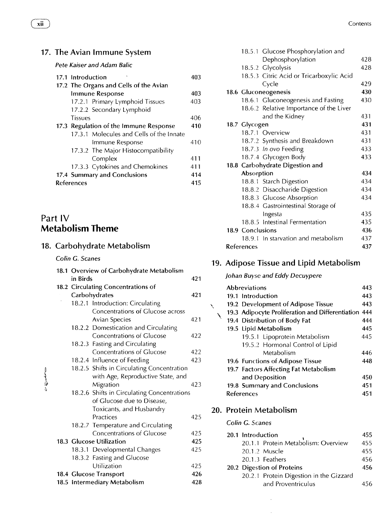### 17. The Avian Immune System

*Pete Kaiser and Adam Balic* 

|                                        | 17.1 Introduction                        | 403 |
|----------------------------------------|------------------------------------------|-----|
|                                        | 17.2 The Organs and Cells of the Avian   |     |
|                                        | <b>Immune Response</b>                   | 403 |
|                                        | 17.2.1 Primary Lymphoid Tissues          | 403 |
|                                        | 17.2.2 Secondary Lymphoid                |     |
|                                        | <b>Tissues</b>                           | 406 |
| 17.3 Regulation of the Immune Response |                                          |     |
|                                        | 17.3.1 Molecules and Cells of the Innate |     |
|                                        | Immune Response                          | 410 |
|                                        | 17.3.2 The Major Histocompatibility      |     |
|                                        | Complex                                  | 411 |
|                                        | 17.3.3 Cytokines and Chemokines          | 411 |
|                                        | 17.4 Summary and Conclusions             | 414 |
| <b>References</b>                      |                                          |     |

### Part IV **Metabolism Theme**

### 18. Carbohydrate Metabolism

#### *Colin G. Scanes*

|       | 18.1 Overview of Carbohydrate Metabolism |                                             |     |  |  |
|-------|------------------------------------------|---------------------------------------------|-----|--|--|
|       | in Birds                                 |                                             |     |  |  |
|       |                                          | 18.2 Circulating Concentrations of          |     |  |  |
|       |                                          | Carbohydrates                               | 421 |  |  |
|       |                                          | 18.2.1 Introduction: Circulating            |     |  |  |
|       |                                          | Concentrations of Glucose across            |     |  |  |
|       |                                          | <b>Avian Species</b>                        | 421 |  |  |
|       |                                          | 18.2.2 Domestication and Circulating        |     |  |  |
|       |                                          | <b>Concentrations of Glucose</b>            | 422 |  |  |
|       |                                          | 18.2.3 Fasting and Circulating              |     |  |  |
|       |                                          | <b>Concentrations of Glucose</b>            | 422 |  |  |
|       |                                          | 18.2.4 Influence of Feeding                 | 423 |  |  |
|       |                                          | 18.2.5 Shifts in Circulating Concentration  |     |  |  |
| アウールー |                                          | with Age, Reproductive State, and           |     |  |  |
|       |                                          | Migration                                   | 423 |  |  |
|       |                                          | 18.2.6 Shifts in Circulating Concentrations |     |  |  |
|       |                                          | of Glucose due to Disease,                  |     |  |  |
|       |                                          | Toxicants, and Husbandry                    |     |  |  |
|       |                                          | Practices                                   | 425 |  |  |
|       |                                          | 18.2.7 Temperature and Circulating          |     |  |  |
|       |                                          | <b>Concentrations of Glucose</b>            | 425 |  |  |
|       |                                          | 18.3 Glucose Utilization                    | 425 |  |  |
|       |                                          | 18.3.1 Developmental Changes                | 425 |  |  |
|       |                                          | 18.3.2 Fasting and Glucose                  |     |  |  |
|       |                                          | Utilization                                 | 425 |  |  |
|       |                                          | 18.4 Glucose Transport                      | 426 |  |  |
|       |                                          | 18.5 Intermediary Metabolism                | 428 |  |  |

|            |                  | 18.5.1 Glucose Phosphorylation and       |     |
|------------|------------------|------------------------------------------|-----|
|            |                  | Dephosphorylation                        | 428 |
|            |                  | 18.5.2 Glycolysis                        | 428 |
|            |                  | 18.5.3 Citric Acid or Tricarboxylic Acid |     |
|            |                  | Cycle                                    | 429 |
|            |                  | 18.6 Gluconeogenesis                     | 430 |
|            |                  | 18.6.1 Gluconeogenesis and Fasting       | 430 |
|            |                  | 18.6.2 Relative Importance of the Liver  |     |
|            |                  | and the Kidney                           | 431 |
|            | 18.7 Glycogen    |                                          | 431 |
|            |                  | 18.7.1 Overview                          | 431 |
|            |                  | 18.7.2 Synthesis and Breakdown           | 431 |
|            |                  | 18.7.3 In ovo Feeding                    | 433 |
|            |                  | 18.7.4 Glycogen Body                     | 433 |
|            |                  | 18.8 Carbohydrate Digestion and          |     |
|            | Absorption       |                                          | 434 |
|            |                  | 18.8.1 Starch Digestion                  | 434 |
|            |                  | 18.8.2 Disaccharide Digestion            | 434 |
|            |                  | 18.8.3 Glucose Absorption                | 434 |
|            |                  | 18.8.4 Gastrointestinal Storage of       |     |
|            |                  | Ingesta                                  | 435 |
|            |                  | 18.8.5 Intestinal Fermentation           | 435 |
|            | 18.9 Conclusions |                                          | 436 |
|            |                  | 18.9.1 In starvation and metabolism      | 437 |
| References |                  |                                          | 437 |

### 19. Adipose Tissue and Lipid Metabolism

### *Johan Buyse and Eddy Decuypere*

|   | <b>Abbreviations</b>                                 | 443 |
|---|------------------------------------------------------|-----|
|   | 19.1 Introduction                                    | 443 |
| X | 19.2 Development of Adipose Tissue                   | 443 |
|   | 19.3 Adipocyte Proliferation and Differentiation 444 |     |
|   | 19.4 Distribution of Body Fat                        | 444 |
|   | 19.5 Lipid Metabolism                                | 445 |
|   | 19.5.1 Lipoprotein Metabolism                        | 445 |
|   | 19.5.2 Hormonal Control of Lipid                     |     |
|   | Metabolism                                           | 446 |
|   | 19.6 Functions of Adipose Tissue                     | 448 |
|   | 19.7 Factors Affecting Fat Metabolism                |     |
|   | and Deposition                                       | 450 |
|   | 19.8 Summary and Conclusions                         | 451 |
|   | References                                           | 451 |

#### 20. Protein Metabolism

#### *Colin G. Scanes*

| 20.1 Introduction                       | 455 |
|-----------------------------------------|-----|
| 20.1.1 Protein Metabolism: Overview     | 455 |
| 20.1.2 Muscle                           | 455 |
| 20.1.3 Feathers                         | 456 |
| 20.2 Digestion of Proteins              | 456 |
| 20.2.1 Protein Digestion in the Gizzard |     |
| and Proventriculus                      |     |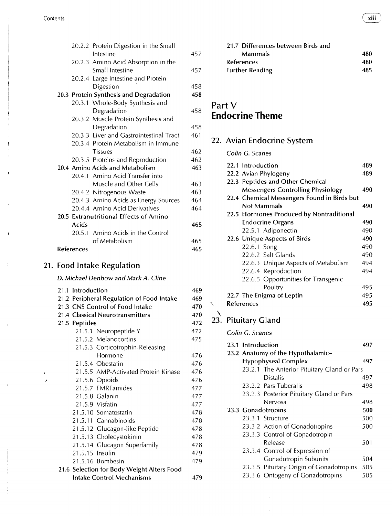#### Contents (~ **xiii")**

|                   | 20.2.2 Protein Digestion in the Small   |     |
|-------------------|-----------------------------------------|-----|
|                   | Intestine                               | 457 |
|                   | 20.2.3 Amino Acid Absorption in the     |     |
|                   | Small Intestine                         | 457 |
|                   | 20.2.4 Large Intestine and Protein      |     |
|                   | Digestion                               | 458 |
|                   | 20.3 Protein Synthesis and Degradation  | 458 |
|                   | 20.3.1 Whole-Body Synthesis and         |     |
|                   | Degradation                             | 458 |
|                   | 20.3.2 Muscle Protein Synthesis and     |     |
|                   | Degradation                             | 458 |
|                   | 20.3.3 Liver and Gastrointestinal Tract | 461 |
|                   | 20.3.4 Protein Metabolism in Immune     |     |
|                   | <b>Tissues</b>                          | 462 |
|                   | 20.3.5 Proteins and Reproduction        | 462 |
|                   | 20.4 Amino Acids and Metabolism         | 463 |
|                   | 20.4.1 Amino Acid Transfer into         |     |
|                   | Muscle and Other Cells                  | 463 |
|                   | 20.4.2 Nitrogenous Waste                | 463 |
|                   | 20.4.3 Amino Acids as Energy Sources    | 464 |
|                   | 20.4.4 Amino Acid Derivatives           | 464 |
|                   | 20.5 Extranutritional Effects of Amino  |     |
| Acids             |                                         | 465 |
|                   | 20.5.1 Amino Acids in the Control       |     |
|                   | of Metabolism                           | 465 |
| <b>References</b> |                                         | 465 |
|                   |                                         |     |

#### 21. Food Intake Regulation

 $\mathbf{I}$ 

 $\mathbf{I}$ 

*D. Michael Denbow and Mark A. dine* 

| 21.1 Introduction                         |                                            | 469 |  |  |
|-------------------------------------------|--------------------------------------------|-----|--|--|
| 21.2 Peripheral Regulation of Food Intake |                                            |     |  |  |
|                                           | 21.3 CNS Control of Food Intake            | 470 |  |  |
|                                           | 21.4 Classical Neurotransmitters           | 470 |  |  |
| 21.5 Peptides                             |                                            | 472 |  |  |
|                                           | 21.5.1 Neuropeptide Y                      | 472 |  |  |
|                                           | 21.5.2 Melanocortins                       | 475 |  |  |
|                                           | 21.5.3 Corticotrophin-Releasing            |     |  |  |
|                                           | Hormone                                    | 476 |  |  |
|                                           | 21.5.4 Obestatin                           | 476 |  |  |
|                                           | 21.5.5 AMP-Activated Protein Kinase        | 476 |  |  |
|                                           | 21.5.6 Opioids                             | 476 |  |  |
|                                           | 21.5.7 FMRFamides                          | 477 |  |  |
|                                           | 21.5.8 Galanin                             | 477 |  |  |
|                                           | 21.5.9 Visfatin                            | 477 |  |  |
|                                           | 21.5.10 Somatostatin                       | 478 |  |  |
|                                           | 21.5.11 Cannabinoids                       | 478 |  |  |
|                                           | 21.5.12 Glucagon-like Peptide              | 478 |  |  |
|                                           | 21.5.13 Cholecystokinin                    | 478 |  |  |
|                                           | 21.5.14 Glucagon Superfamily               | 478 |  |  |
| 21.5.15 Insulin                           |                                            | 479 |  |  |
|                                           | 21.5.16 Bombesin                           | 479 |  |  |
|                                           | 21.6 Selection for Body Weight Alters Food |     |  |  |
|                                           | <b>Intake Control Mechanisms</b>           | 479 |  |  |

| 21.7 Differences between Birds and |      |
|------------------------------------|------|
| <b>Mammals</b>                     | 480  |
| References                         | 480  |
| <b>Further Reading</b>             | 485. |
|                                    |      |

### Part V **Endocrine Theme**

### 22. Avian Endocrine System

#### *Colin C. Scanes*

|  | 22.1 Introduction                           | 489 |
|--|---------------------------------------------|-----|
|  | 22.2 Avian Phylogeny                        | 489 |
|  | 22.3 Peptides and Other Chemical            |     |
|  | <b>Messengers Controlling Physiology</b>    | 490 |
|  | 22.4 Chemical Messengers Found in Birds but |     |
|  | <b>Not Mammals</b>                          | 490 |
|  | 22.5 Hormones Produced by Nontraditional    |     |
|  | <b>Endocrine Organs</b>                     | 490 |
|  | 22.5.1 Adiponectin                          | 490 |
|  | 22.6 Unique Aspects of Birds                | 490 |
|  | 22.6.1 Song                                 | 490 |
|  | 22.6.2 Salt Glands                          | 490 |
|  | 22.6.3 Unique Aspects of Metabolism         | 494 |
|  | 22.6.4 Reproduction                         | 494 |
|  | 22.6.5 Opportunities for Transgenic         |     |
|  | Poultry                                     | 495 |
|  | 22.7 The Enigma of Leptin                   | 495 |
|  | <b>References</b>                           | 495 |
|  |                                             |     |

# \<br>23. Pituitary Gland

*Colin G. Scanes* 

#### **23.1 Introduction 23.2 Anatomy of the Hypothalamic-Hypophyseal Complex 497 497**  23.2.1 The Anterior Pituitary Gland or Pars Distalis 497 23.2.2 Pars Tuberalis 498 23.2.3 Posterior Pituitary Gland or Pars Nervosa 498 **23.3 Gonadotropins 500**  23.3.1 Structure 500 23.3.2 Action of Gonadotropins 500 23.3.3 Control of Gonadotropin Release 501 23.3.4 Control of Expression of Gonadotropin Subunits 504 23.3.5 Pituitary Origin of Gonadotropins 505

23.3.6 Ontogeny of Gonadotropins 505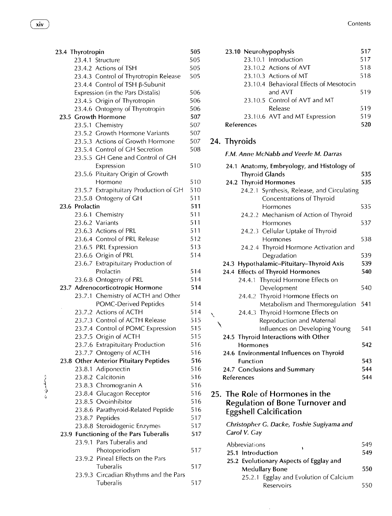$\phi$  . When the  $\phi$ 

| 23.4 Thyrotropin                       | 505 | 23.10 Neurohypophysis                            | 517 |
|----------------------------------------|-----|--------------------------------------------------|-----|
| 23.4.1 Structure                       | 505 | 23.10.1 Introduction                             | 517 |
| 23.4.2 Actions of TSH                  | 505 | 23.10.2 Actions of AVT                           | 518 |
| 23.4.3 Control of Thyrotropin Release  | 505 | 23.10.3 Actions of MT                            | 518 |
| 23.4.4 Control of TSH ß-Subunit        |     | 23.10.4 Behavioral Effects of Mesotocin          |     |
| Expression (in the Pars Distalis)      | 506 | and AVT                                          | 519 |
| 23.4.5 Origin of Thyrotropin           | 506 | 23.10.5 Control of AVT and MT                    |     |
| 23.4.6 Ontogeny of Thyrotropin         | 506 | Release                                          | 519 |
| 23.5 Growth Hormone                    | 507 | 23.10.6 AVT and MT Expression                    | 519 |
| 23.5.1 Chemistry                       | 507 | References                                       | 520 |
| 23.5.2 Growth Hormone Variants         | 507 |                                                  |     |
| 23.5.3 Actions of Growth Hormone       | 507 | 24. Thyroids                                     |     |
| 23.5.4 Control of GH Secretion         | 508 |                                                  |     |
| 23.5.5 GH Gene and Control of GH       |     | F.M. Anne McNabb and Veerle M. Darras            |     |
| Expression                             | 510 | 24.1 Anatomy, Embryology, and Histology of       |     |
| 23.5.6 Pituitary Origin of Growth      |     | <b>Thyroid Glands</b>                            | 535 |
| Hormone                                | 510 | 24.2 Thyroid Hormones                            | 535 |
| 23.5.7 Extrapituitary Production of GH | 510 | 24.2.1 Synthesis, Release, and Circulating       |     |
| 23.5.8 Ontogeny of GH                  | 511 | Concentrations of Thyroid                        |     |
| 23.6 Prolactin                         | 511 | Hormones                                         | 535 |
| 23.6.1 Chemistry                       | 511 | 24.2.2 Mechanism of Action of Thyroid            |     |
| 23.6.2 Variants                        | 511 | Hormones                                         | 537 |
| 23.6.3 Actions of PRL                  | 511 | 24.2.3 Cellular Uptake of Thyroid                |     |
| 23.6.4 Control of PRL Release          | 512 | Hormones                                         | 538 |
| 23.6.5 PRL Expression                  | 513 | 24.2.4 Thyroid Hormone Activation and            |     |
| 23.6.6 Origin of PRL                   | 514 | Degradation                                      | 539 |
| 23.6.7 Extrapituitary Production of    |     | 24.3 Hypothalamic-Pituitary-Thyroid Axis         | 539 |
| Prolactin                              | 514 | 24.4 Effects of Thyroid Hormones                 | 540 |
| 23.6.8 Ontogeny of PRL                 | 514 | 24.4.1 Thyroid Hormone Effects on                |     |
| 23.7 Adrenocorticotropic Hormone       | 514 | Development                                      | 540 |
| 23.7.1 Chemistry of ACTH and Other     |     | 24.4.2 Thyroid Hormone Effects on                |     |
| POMC-Derived Peptides                  | 514 | Metabolism and Thermoregulation                  | 541 |
| 23.7.2 Actions of ACTH                 | 514 | 24.4.3 Thyroid Hormone Effects on                |     |
| 23.7.3 Control of ACTH Release         | 515 | ╲<br>Reproduction and Maternal                   |     |
| 23.7.4 Control of POMC Expression      | 515 |                                                  | 541 |
| 23.7.5 Origin of ACTH                  | 515 | Influences on Developing Young                   |     |
| 23.7.6 Extrapituitary Production       | 516 | 24.5 Thyroid Interactions with Other<br>Hormones | 542 |
| 23.7.7 Ontogeny of ACTH                | 516 | 24.6 Environmental Influences on Thyroid         |     |
| 23.8 Other Anterior Pituitary Peptides | 516 | Function                                         | 543 |
| 23.8.1 Adiponectin                     | 516 | 24.7 Conclusions and Summary                     | 544 |
| 23.8.2 Calcitonin                      | 516 | References                                       | 544 |
| 23.8.3 Chromogranin A                  | 516 |                                                  |     |
| 23.8.4 Glucagon Receptor               | 516 |                                                  |     |
| 23.8.5 Ovoinhibitor                    | 516 | 25. The Role of Hormones in the                  |     |
|                                        |     | <b>Regulation of Bone Turnover and</b>           |     |
| 23.8.6 Parathyroid-Related Peptide     | 516 | <b>Eggshell Calcification</b>                    |     |
| 23.8.7 Peptides                        | 517 | Christopher G. Dacke, Toshie Sugiyama and        |     |
| 23.8.8 Steroidogenic Enzymes           | 517 | Carol V. Gay                                     |     |
| 23.9 Functioning of the Pars Tuberalis | 517 |                                                  |     |
| 23.9.1 Pars Tuberalis and              |     | Abbreviations                                    | 549 |
| Photoperiodism                         | 517 | 25.1 Introduction                                | 549 |
| 23.9.2 Pineal Effects on the Pars      |     | 25.2 Evolutionary Aspects of Egglay and          |     |
| Tuberalis                              | 517 | <b>Medullary Bone</b>                            | 550 |
| 23.9.3 Circadian Rhythms and the Pars  |     | 25.2.1 Egglay and Evolution of Calcium           |     |
| Tuberalis                              | 517 | Reservoirs                                       | 550 |

| 23.4 Thyrotropin                      | 505  | 23.10 Neurohypophysis                   | 517 |
|---------------------------------------|------|-----------------------------------------|-----|
| 23.4.1 Structure                      | 505  | 23.10.1 Introduction                    | 517 |
| 23.4.2 Actions of TSH                 | 505  | 23.10.2 Actions of AVT                  | 518 |
| 23.4.3 Control of Thyrotropin Release | 505  | 23.10.3 Actions of MT                   | 518 |
| 23.4.4 Control of TSH β-Subunit       |      | 23.10.4 Behavioral Effects of Mesotocin |     |
| Expression (in the Pars Distalis)     | 506  | and AVT                                 | 519 |
| 23.4.5 Origin of Thyrotropin          | 506  | 23.10.5 Control of AVT and MT           |     |
| 23.4.6 Ontogeny of Thyrotropin        | 506  | Release                                 | 519 |
| 23.5 Growth Hormone                   | 507  | 23.10.6 AVT and MT Expression           | 519 |
| 23.5.1 Chemistry                      | 507  | <b>References</b>                       | 520 |
| $\cdots$                              | $-0$ |                                         |     |

### $7$  24. Thyroids

### <sup>8</sup> F.M. Anne McNabb and Veerle M. Darras

| Expression                             | 510 | 24.1 Anatomy, Embryology, and Histology of |     |
|----------------------------------------|-----|--------------------------------------------|-----|
| 23.5.6 Pituitary Origin of Growth      |     | <b>Thyroid Glands</b>                      | 535 |
| Hormone                                | 510 | 24.2 Thyroid Hormones                      | 535 |
| 23.5.7 Extrapituitary Production of GH | 510 | 24.2.1 Synthesis, Release, and Circulating |     |
| 23.5.8 Ontogeny of GH                  | 511 | Concentrations of Thyroid                  |     |
| 23.6 Prolactin                         | 511 | Hormones                                   | 535 |
| 23.6.1 Chemistry                       | 511 | 24.2.2 Mechanism of Action of Thyroid      |     |
| 23.6.2 Variants                        | 511 | Hormones                                   | 537 |
| 23.6.3 Actions of PRL                  | 511 | 24.2.3 Cellular Uptake of Thyroid          |     |
| 23.6.4 Control of PRL Release          | 512 | Hormones                                   | 538 |
| 23.6.5 PRL Expression                  | 513 | 24.2.4 Thyroid Hormone Activation and      |     |
| 23.6.6 Origin of PRL                   | 514 | Degradation                                | 539 |
| 23.6.7 Extrapituitary Production of    |     | 24.3 Hypothalamic-Pituitary-Thyroid Axis   | 539 |
| Prolactin                              | 514 | 24.4 Effects of Thyroid Hormones           | 540 |
| 23.6.8 Ontogeny of PRL                 | 514 | 24.4.1 Thyroid Hormone Effects on          |     |
| 23.7 Adrenocorticotropic Hormone       | 514 | Development                                | 540 |
| 23.7.1 Chemistry of ACTH and Other     |     | 24.4.2 Thyroid Hormone Effects on          |     |
| POMC-Derived Peptides                  | 514 | Metabolism and Thermoregulation            | 541 |
| 23.7.2 Actions of ACTH                 | 514 | 24.4.3 Thyroid Hormone Effects on          |     |
| 23.7.3 Control of ACTH Release         | 515 | Reproduction and Maternal                  |     |
| 23.7.4 Control of POMC Expression      | 515 | Influences on Developing Young             | 541 |
| 23.7.5 Origin of ACTH                  | 515 | 24.5 Thyroid Interactions with Other       |     |
| 23.7.6 Extrapituitary Production       | 516 | Hormones                                   | 542 |
| 23.7.7 Ontogeny of ACTH                | 516 | 24.6 Environmental Influences on Thyroid   |     |
| 23.8 Other Anterior Pituitary Peptides | 516 | Function                                   | 543 |
| 23.8.1 Adiponectin                     | 516 | 24.7 Conclusions and Summary               | 544 |
| 23.8.2 Calcitonin                      | 516 | References                                 | 544 |
| 23.8.3 Chromogranin A                  | 516 |                                            |     |
| 23.8.4 Glucagon Receptor               | 516 | 25. The Role of Hormones in the            |     |
| 23.8.5 Ovoinhibitor                    | 516 | <b>Regulation of Bone Turnover and</b>     |     |
| 23.8.6 Parathyroid-Related Peptide     | 516 | <b>Eggshell Calcification</b>              |     |
| 23.8.7 Peptides                        | 517 |                                            |     |
| 23.8.8 Steroidogenic Enzymes           | 517 | Christopher G. Dacke, Toshie Sugiyama and  |     |
| 23.9 Functioning of the Pars Tuberalis | 517 | Carol V. Gay                               |     |
| 23.9.1 Pars Tuberalis and              |     | Abbreviations                              | 549 |
| Photoperiodism                         | 517 | 25.1 Introduction                          | 549 |
| 23.9.2 Pineal Effects on the Pars      |     | 25.2 Evolutionary Aspects of Egglay and    |     |
| Tuberalis                              | 517 | <b>Medullary Bone</b>                      | 550 |
| 23.9.3 Circadian Rhythms and the Pars  |     | 25.2.1 Egglay and Evolution of Calcium     |     |
|                                        |     |                                            |     |

 $\hat{\mathcal{A}}$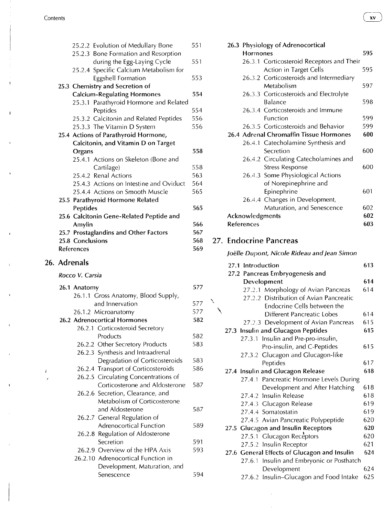$\mathbf{f}$ 

|                                      | 25.2.2 Evolution of Medullary Bone       | 551 |
|--------------------------------------|------------------------------------------|-----|
|                                      | 25.2.3 Bone Formation and Resorption     |     |
|                                      | during the Egg-Laying Cycle              | 551 |
|                                      | 25.2.4 Specific Calcium Metabolism for   |     |
|                                      | Eggshell Formation                       | 553 |
|                                      | 25.3 Chemistry and Secretion of          |     |
|                                      | <b>Calcium-Regulating Hormones</b>       | 554 |
|                                      | 25.3.1 Parathyroid Hormone and Related   |     |
|                                      | Peptides                                 | 554 |
|                                      | 25.3.2 Calcitonin and Related Peptides   | 556 |
|                                      | 25.3.3 The Vitamin D System              | 556 |
| 25.4 Actions of Parathyroid Hormone, |                                          |     |
| Calcitonin, and Vitamin D on Target  |                                          |     |
|                                      |                                          |     |
| Organs                               |                                          | 558 |
|                                      | 25.4.1 Actions on Skeleton (Bone and     |     |
|                                      | Cartilage)                               | 558 |
|                                      | 25.4.2 Renal Actions                     | 563 |
|                                      | 25.4.3 Actions on Intestine and Oviduct  | 564 |
|                                      | 25.4.4 Actions on Smooth Muscle          | 565 |
|                                      | 25.5 Parathyroid Hormone Related         |     |
| Peptides                             |                                          | 565 |
|                                      | 25.6 Calcitonin Gene-Related Peptide and |     |
| Amylin                               |                                          | 566 |
|                                      | 25.7 Prostaglandins and Other Factors    | 567 |
| 25.8 Conclusions                     |                                          | 568 |

### 26. Adrenals

### *Rocco V. Carsia*

|   | 26.1 Anatomy                         | 577 |
|---|--------------------------------------|-----|
|   | 26.1.1 Gross Anatomy, Blood Supply,  |     |
|   | and Innervation                      | 577 |
|   | 26.1.2 Microanatomy                  | 577 |
|   | 26.2 Adrenocortical Hormones         | 582 |
|   | 26.2.1 Corticosteroid Secretory      |     |
|   | Products                             | 582 |
|   | 26.2.2 Other Secretory Products      | 583 |
|   | 26.2.3 Synthesis and Intraadrenal    |     |
|   | Degradation of Corticosteroids       | 583 |
|   | 26.2.4 Transport of Corticosteroids  | 586 |
| t | 26.2.5 Circulating Concentrations of |     |
|   | Corticosterone and Aldosterone       | 587 |
|   | 26.2.6 Secretion, Clearance, and     |     |
|   | Metabolism of Corticosterone         |     |
|   | and Aldosterone                      | 587 |
|   | 26.2.7 General Regulation of         |     |
|   | Adrenocortical Function              | 589 |
|   | 26.2.8 Regulation of Aldosterone     |     |
|   | Secretion                            | 591 |
|   | 26.2.9 Overview of the HPA Axis      | 593 |
|   | 26.2.10 Adrenocortical Function in   |     |
|   | Development, Maturation, and         |     |
|   | Senescence                           | 594 |
|   |                                      |     |

|                   | 26.3 Physiology of Adrenocortical |                                           |     |
|-------------------|-----------------------------------|-------------------------------------------|-----|
|                   | <b>Hormones</b>                   |                                           | 595 |
|                   |                                   | 26.3.1 Corticosteroid Receptors and Their |     |
|                   |                                   | Action in Target Cells                    | 595 |
|                   |                                   | 26.3.2 Corticosteroids and Intermediary   |     |
|                   |                                   | Metabolism                                | 597 |
|                   |                                   | 26.3.3 Corticosteroids and Electrolyte    |     |
|                   |                                   | Balance                                   | 598 |
|                   |                                   | 26.3.4 Corticosteroids and Immune         |     |
|                   |                                   | Function                                  | 599 |
|                   |                                   | 26.3.5 Corticosteroids and Behavior       | 599 |
|                   |                                   | 26.4 Adrenal Chromaffin Tissue Hormones   | 600 |
|                   |                                   | 26.4.1 Catecholamine Synthesis and        |     |
|                   |                                   | Secretion                                 | 600 |
|                   |                                   | 26.4.2 Circulating Catecholamines and     |     |
|                   |                                   | <b>Stress Response</b>                    | 600 |
|                   |                                   | 26.4.3 Some Physiological Actions         |     |
|                   |                                   | of Norepinephrine and                     |     |
|                   |                                   | Epinephrine                               | 601 |
|                   |                                   | 26.4.4 Changes in Development,            |     |
|                   |                                   | Maturation, and Senescence                | 602 |
|                   | Acknowledgments                   |                                           | 602 |
| <b>References</b> |                                   |                                           | 603 |

### 27. Endocrine Pancreas

 $\bar{\mathbf{y}}$ 

*Joelle Dupont, Nicole Rideau and Jean Simon* 

| Introduction<br>27.1                         | 613 |
|----------------------------------------------|-----|
| 27.2 Pancreas Embryogenesis and              |     |
| Development                                  | 614 |
| 27.2.1 Morphology of Avian Pancreas          | 614 |
| 27.2.2 Distribution of Avian Pancreatic      |     |
| Endocrine Cells between the                  |     |
| Different Pancreatic Lobes                   | 614 |
| 27.2.3 Development of Avian Pancreas         | 615 |
| 27.3 Insulin and Glucagon Peptides           | 615 |
| Insulin and Pre-pro-insulin,<br>27.3.1       |     |
| Pro-insulin, and C-Peptides                  | 615 |
| 27.3.2 Glucagon and Glucagon-like            |     |
| Peptides                                     | 617 |
| 27.4 Insulin and Glucagon Release            | 618 |
| 27.4.1 Pancreatic Hormone Levels During      |     |
| Development and After Hatching               | 618 |
| 27.4.2 Insulin Release                       | 618 |
| 27.4.3 Glucagon Release                      | 619 |
| 27.4.4 Somatostatin                          | 619 |
| 27.4.5 Avian Pancreatic Polypeptide          | 620 |
| 27.5 Glucagon and Insulin Receptors          | 620 |
| 27.5.1 Glucagon Receptors                    | 620 |
| 27.5.2 Insulin Receptor                      | 621 |
| 27.6 General Effects of Glucagon and Insulin | 624 |
| Insulin and Embryonic or Posthatch<br>27.6.1 |     |
| Development                                  | 624 |
| 27.6.2 Insulin-Glucagon and Food Intake      | 625 |

 $x\mathbf{v}$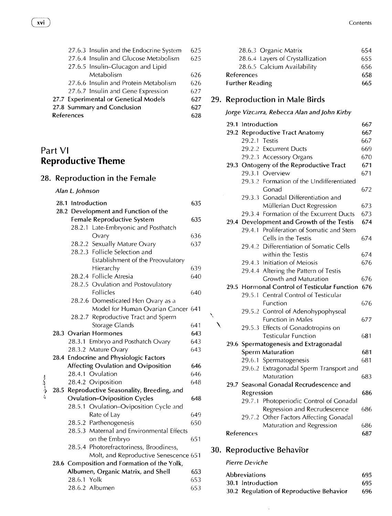|                   |  | 27.6.3 Insulin and the Endocrine System | 625 |
|-------------------|--|-----------------------------------------|-----|
|                   |  | 27.6.4 Insulin and Glucose Metabolism   | 625 |
|                   |  | 27.6.5 Insulin-Glucagon and Lipid       |     |
|                   |  | Metabolism                              | 626 |
|                   |  | 27.6.6 Insulin and Protein Metabolism   | 626 |
|                   |  | 27.6.7 Insulin and Gene Expression      | 627 |
|                   |  | 27.7 Experimental or Genetical Models   | 627 |
|                   |  | 27.8 Summary and Conclusion             | 627 |
| <b>References</b> |  |                                         | 628 |
|                   |  |                                         |     |

### Part VI **Reproductive Theme**

### 28. Reproduction in the Female

#### *Alan L Johnson*

|         | 28.1 Introduction<br>635             |                                              |     |
|---------|--------------------------------------|----------------------------------------------|-----|
|         | 28.2 Development and Function of the |                                              |     |
|         |                                      | Female Reproductive System                   | 635 |
|         |                                      | 28.2.1 Late-Embryonic and Posthatch          |     |
|         |                                      | Ovary                                        | 636 |
|         | 28.2.2                               | Sexually Mature Ovary                        | 637 |
|         |                                      | 28.2.3 Follicle Selection and                |     |
|         |                                      | Establishment of the Preovulatory            |     |
|         |                                      | Hierarchy                                    | 639 |
|         |                                      | 28.2.4 Follicle Atresia                      | 640 |
|         |                                      | 28.2.5 Ovulation and Postovulatory           |     |
|         |                                      | Follicles                                    | 640 |
|         |                                      | 28.2.6 Domesticated Hen Ovary as a           |     |
|         |                                      | Model for Human Ovarian Cancer 641           |     |
|         |                                      | 28.2.7 Reproductive Tract and Sperm          |     |
|         |                                      | Storage Glands                               | 641 |
|         |                                      | 28.3 Ovarian Hormones                        | 643 |
|         |                                      | 28.3.1 Embryo and Posthatch Ovary            | 643 |
|         |                                      | 28.3.2 Mature Ovary                          | 643 |
|         |                                      | 28.4 Endocrine and Physiologic Factors       |     |
|         |                                      | <b>Affecting Ovulation and Oviposition</b>   | 646 |
|         |                                      | 28.4.1 Ovulation                             | 646 |
| سمندن م |                                      | 28.4.2 Oviposition                           | 648 |
|         |                                      | 28.5 Reproductive Seasonality, Breeding, and |     |
|         |                                      | <b>Ovulation-Oviposition Cycles</b>          | 648 |
|         |                                      | 28.5.1 Ovulation-Oviposition Cycle and       |     |
|         |                                      | Rate of Lay                                  | 649 |
|         |                                      | 28.5.2 Parthenogenesis                       | 650 |
|         |                                      | 28.5.3 Maternal and Environmental Effects    |     |
|         |                                      | on the Embryo                                | 651 |
|         |                                      | 28.5.4 Photorefractoriness, Broodiness,      |     |
|         |                                      | Molt, and Reproductive Senescence 651        |     |
|         |                                      | 28.6 Composition and Formation of the Yolk,  |     |
|         |                                      | Albumen, Organic Matrix, and Shell           | 653 |
|         | 28.6.1 Yolk                          |                                              | 653 |
|         |                                      | 28.6.2 Albumen                               | 653 |

| 28.6.3 Organic Matrix            | 654  |
|----------------------------------|------|
| 28.6.4 Layers of Crystallization | 655  |
| 28.6.5 Calcium Availability      | 656  |
| <b>References</b>                | 658  |
| <b>Further Reading</b>           | 665. |

### 29. Reproduction in Male Birds

#### *Jorge Vizcarra, Rebecca Alan and John Kirby*

| 29.1 Introduction<br>667 |                                              |     |
|--------------------------|----------------------------------------------|-----|
|                          | 29.2 Reproductive Tract Anatomy              | 667 |
| 29.2.1 Testis            |                                              | 667 |
|                          | 29.2.2 Excurrent Ducts                       | 669 |
|                          | 29.2.3 Accessory Organs                      | 670 |
|                          | 29.3 Ontogeny of the Reproductive Tract      | 671 |
|                          | 29.3.1 Overview                              | 671 |
|                          | 29.3.2 Formation of the Undifferentiated     |     |
|                          | Gonad                                        | 672 |
|                          | 29.3.3 Gonadal Differentiation and           |     |
|                          | Müllerian Duct Regression                    | 673 |
|                          | 29.3.4 Formation of the Excurrent Ducts      | 673 |
|                          | 29.4 Development and Growth of the Testis    | 674 |
|                          | 29.4.1 Proliferation of Somatic and Stem     |     |
|                          | Cells in the Testis                          | 674 |
|                          | 29.4.2 Differentiation of Somatic Cells      |     |
|                          | within the Testis                            | 674 |
|                          | 29.4.3 Initiation of Meiosis                 | 676 |
|                          | 29.4.4 Altering the Pattern of Testis        |     |
|                          | Growth and Maturation                        | 676 |
|                          | 29.5 Hormonal Control of Testicular Function | 676 |
| 29.5.1                   | Central Control of Testicular                |     |
|                          | Function                                     | 676 |
|                          | 29.5.2 Control of Adenohypophyseal           |     |
|                          | Function in Males                            | 677 |
|                          | 29.5.3 Effects of Gonadotropins on           |     |
|                          | <b>Testicular Function</b>                   | 681 |
|                          | 29.6 Spermatogenesis and Extragonadal        |     |
|                          | <b>Sperm Maturation</b>                      | 681 |
|                          | 29.6.1 Spermatogenesis                       | 681 |
|                          | 29.6.2 Extragonadal Sperm Transport and      |     |
|                          | Maturation                                   | 683 |
|                          | 29.7 Seasonal Gonadal Recrudescence and      |     |
| Regression               |                                              | 686 |
|                          | 29.7.1 Photoperiodic Control of Gonadal      |     |
|                          | Regression and Recrudescence                 | 686 |
|                          | 29.7.2 Other Factors Affecting Gonadal       |     |
|                          | Maturation and Regression                    | 686 |
| References               |                                              | 687 |

### 30. Reproductive Behavior

 $\ddot{\phantom{a}}$ 

#### *Pierre Deviche*

 $\bar{\chi}$ **\** 

| <b>Abbreviations</b>                     | 695 |
|------------------------------------------|-----|
| 30.1 Introduction                        | 695 |
| 30.2 Regulation of Reproductive Behavior | 696 |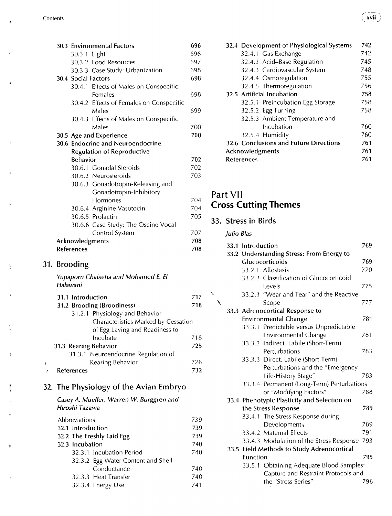$\mathbf{r}$ 

ŧ

¢

ŧ

 $\pmb{\mathfrak{p}}$ 

|  |                     | 30.3 Environmental Factors               | 696 |
|--|---------------------|------------------------------------------|-----|
|  | 30.3.1 Light        |                                          | 696 |
|  |                     | 30.3.2 Food Resources                    | 697 |
|  |                     | 30.3.3 Case Study: Urbanization          | 698 |
|  | 30.4 Social Factors |                                          | 698 |
|  |                     | 30.4.1 Effects of Males on Conspecific   |     |
|  |                     | <b>Females</b>                           | 698 |
|  |                     | 30.4.2 Effects of Females on Conspecific |     |
|  |                     | Males                                    | 699 |
|  |                     | 30.4.3 Effects of Males on Conspecific   |     |
|  |                     | Males                                    | 700 |
|  |                     | 30.5 Age and Experience                  | 700 |
|  |                     | 30.6 Endocrine and Neuroendocrine        |     |
|  |                     | <b>Regulation of Reproductive</b>        |     |
|  | <b>Behavior</b>     |                                          | 702 |
|  |                     | 30.6.1 Gonadal Steroids                  | 702 |
|  |                     | 30.6.2 Neurosteroids                     | 703 |
|  |                     | 30.6.3 Gonadotropin-Releasing and        |     |
|  |                     | Gonadotropin-Inhibitory                  |     |
|  |                     | Hormones                                 | 704 |
|  |                     | 30.6.4 Arginine Vasotocin                | 704 |
|  |                     | 30.6.5 Prolactin                         | 705 |
|  |                     | 30.6.6 Case Study: The Oscine Vocal      |     |
|  |                     | Control System                           | 707 |
|  | Acknowledgments     |                                          | 708 |
|  | <b>References</b>   |                                          | 708 |
|  | 31. Brooding        |                                          |     |
|  |                     | Yunanorn Chaiseha and Mohamed E. El      |     |

*Yupaporn Chaiseha and Mohamed E. El Halawani* 

|    | 31.1 Introduction                   | 717 |
|----|-------------------------------------|-----|
|    | 31.2 Brooding (Broodiness)          | 718 |
|    | 31.2.1 Physiology and Behavior      |     |
|    | Characteristics Marked by Cessation |     |
|    | of Egg Laying and Readiness to      |     |
|    | Incubate                            | 718 |
|    | 31.3 Rearing Behavior               | 725 |
|    | 31.3.1 Neuroendocrine Regulation of |     |
| ł. | Rearing Behavior                    | 726 |
|    | References                          | 732 |

### 32. The Physiology of the Avian Embryo

*Casey A. Mueller, Warren W. Burggren and Hiroshi Tazawa* 

| Abbreviations            |                                    | 739 |
|--------------------------|------------------------------------|-----|
| 739<br>32.1 Introduction |                                    |     |
|                          | 32.2 The Freshly Laid Egg          | 739 |
| 32.3 Incubation          |                                    | 740 |
|                          | 32.3.1 Incubation Period           | 740 |
|                          | 32.3.2 Egg Water Content and Shell |     |
|                          | Conductance                        | 740 |
|                          | 32.3.3 Heat Transfer               | 740 |
|                          | 32.3.4 Energy Use                  | 741 |

| 32.4 Development of Physiological Systems | 742 |
|-------------------------------------------|-----|
| 32.4.1 Gas Exchange                       | 742 |
| 32.4.2 Acid-Base Regulation               | 745 |
| 32.4.3 Cardiovascular System              | 748 |
| 32.4.4 Osmoregulation                     | 755 |
| 32.4.5 Thermoregulation                   | 756 |
| 32.5 Artificial Incubation                | 758 |
| 32.5.1 Preincubation Egg Storage          | 758 |
| 32.5.2 Egg Turning                        | 758 |
| 32.5.3 Ambient Temperature and            |     |
| Incubation                                | 760 |
| 32.5.4 Humidity                           | 760 |
| 32.6 Conclusions and Future Directions    | 761 |
| Acknowledgments                           | 761 |
| <b>References</b>                         | 761 |

### Part VII **Cross Cutting Themes**

### 33. Stress in Birds

*Julio Bias* 

X

|  | 33.1 Introduction |                                             | 769 |
|--|-------------------|---------------------------------------------|-----|
|  |                   | 33.2 Understanding Stress: From Energy to   |     |
|  |                   | Glucocorticoids                             | 769 |
|  |                   | 33.2.1 Allostasis                           | 770 |
|  |                   | 33.2.2 Classification of Glucocorticoid     |     |
|  |                   | Levels                                      | 775 |
|  |                   | 33.2.3 "Wear and Tear" and the Reactive     |     |
|  |                   | Scope                                       | 777 |
|  |                   | 33.3 Adrenocortical Response to             |     |
|  |                   | <b>Environmental Change</b>                 | 781 |
|  |                   | 33.3.1 Predictable versus Unpredictable     |     |
|  |                   | <b>Environmental Change</b>                 | 781 |
|  |                   | 33.3.2 Indirect, Labile (Short-Term)        |     |
|  |                   | Perturbations                               | 783 |
|  |                   | 33.3.3 Direct, Labile (Short-Term)          |     |
|  |                   | Perturbations and the "Emergency            |     |
|  |                   | Life-History Stage"                         | 783 |
|  | 33.3.4            | Permanent (Long-Term) Perturbations         |     |
|  |                   | or "Modifying Factors"                      | 788 |
|  |                   | 33.4 Phenotypic Plasticity and Selection on |     |
|  |                   | the Stress Response                         | 789 |
|  |                   | 33.4.1 The Stress Response during           |     |
|  |                   | Development,                                | 789 |
|  |                   | 33.4.2 Maternal Effects                     | 791 |
|  |                   | 33.4.3 Modulation of the Stress Response    | 793 |
|  |                   | 33.5 Field Methods to Study Adrenocortical  |     |
|  | <b>Function</b>   |                                             | 795 |
|  |                   | 33.5.1 Obtaining Adequate Blood Samples:    |     |
|  |                   | Capture and Restraint Protocols and         |     |
|  |                   | the "Stress Series"                         | 796 |
|  |                   |                                             |     |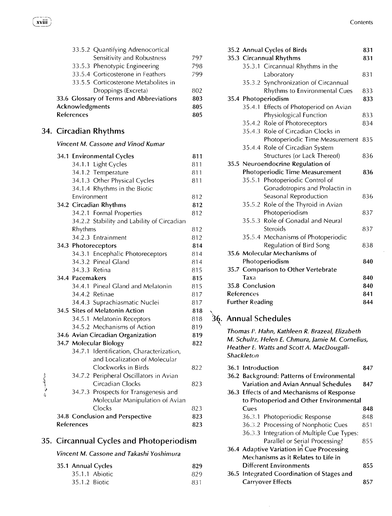|                  |                                   | 33.5.2 Quantifying Adrenocortical          |            |
|------------------|-----------------------------------|--------------------------------------------|------------|
|                  |                                   | Sensitivity and Robustness                 | 797        |
|                  |                                   | 33.5.3 Phenotypic Engineering              | 798        |
|                  |                                   | 33.5.4 Corticosterone in Feathers          | 799        |
|                  |                                   | 33.5.5 Corticosterone Metabolites in       |            |
|                  |                                   | Droppings (Excreta)                        | 802        |
|                  |                                   | 33.6 Glossary of Terms and Abbreviations   | 803        |
|                  | Acknowledgments                   |                                            | 805        |
|                  | <b>References</b>                 |                                            | 805        |
|                  | 34. Circadian Rhythms             |                                            |            |
|                  |                                   | Vincent M. Cassone and Vinod Kumar         |            |
|                  | 34.1 Environmental Cycles         |                                            | 811        |
|                  | 34.1.1 Light Cycles               |                                            | 811        |
|                  | 34.1.2 Temperature                |                                            | 811        |
|                  | 34.1.3 Other Physical Cycles      |                                            | 811        |
|                  | 34.1.4 Rhythms in the Biotic      |                                            |            |
|                  | Environment                       |                                            | 812        |
|                  | 34.2 Circadian Rhythms            |                                            | 812        |
|                  | 34.2.1 Formal Properties          |                                            | 812        |
|                  |                                   | 34.2.2 Stability and Lability of Circadian |            |
|                  | Rhythms                           |                                            | 812        |
|                  | 34.2.3 Entrainment                |                                            | 812        |
|                  | 34.3 Photoreceptors               |                                            | 814        |
|                  |                                   | 34.3.1 Encephalic Photoreceptors           | 814        |
|                  | 34.3.2 Pineal Gland               |                                            | 814        |
|                  | 34.3.3 Retina                     |                                            | 815        |
|                  | 34.4 Pacemakers                   | 34.4.1 Pineal Gland and Melatonin          | 815        |
|                  | 34.4.2 Retinae                    |                                            | 815        |
|                  |                                   |                                            | 817        |
|                  | 34.5 Sites of Melatonin Action    | 34.4.3 Suprachiasmatic Nuclei              | 817<br>818 |
|                  | 34.5.1 Melatonin Receptors        |                                            | 818        |
|                  | 34.5.2 Mechanisms of Action       |                                            | 819        |
|                  | 34.6 Avian Circadian Organization |                                            | 819        |
|                  | 34.7 Molecular Biology            |                                            | 822        |
|                  |                                   | 34.7.1 Identification, Characterization,   |            |
|                  |                                   | and Localization of Molecular              |            |
|                  |                                   | Clockworks in Birds                        | 822        |
|                  |                                   | 34.7.2 Peripheral Oscillators in Avian     |            |
|                  |                                   | Circadian Clocks                           | 823        |
| حجمتك بالبارح حا |                                   | 34.7.3 Prospects for Transgenesis and      |            |
|                  |                                   | Molecular Manipulation of Avian            |            |
|                  | Clocks                            |                                            | 823        |
|                  | 34.8 Conclusion and Perspective   |                                            | 823        |
|                  | <b>References</b>                 |                                            | 823        |
|                  |                                   |                                            |            |

### 35. Circannual Cycles and Photoperiodism

### *Vincent M. Cassone and Takashi Yoshimura*

|               | 35.1 Annual Cycles | 829  |
|---------------|--------------------|------|
|               | 35.1.1 Abiotic     | 829  |
| 35.1.2 Biotic |                    | -831 |

|                    | 831                                                                                                                                                                                                                                                                                                                                                                                                                                                                                                                                                                                                                                                                                                                                                                                                                                                                                                                                            |
|--------------------|------------------------------------------------------------------------------------------------------------------------------------------------------------------------------------------------------------------------------------------------------------------------------------------------------------------------------------------------------------------------------------------------------------------------------------------------------------------------------------------------------------------------------------------------------------------------------------------------------------------------------------------------------------------------------------------------------------------------------------------------------------------------------------------------------------------------------------------------------------------------------------------------------------------------------------------------|
|                    | 831                                                                                                                                                                                                                                                                                                                                                                                                                                                                                                                                                                                                                                                                                                                                                                                                                                                                                                                                            |
|                    |                                                                                                                                                                                                                                                                                                                                                                                                                                                                                                                                                                                                                                                                                                                                                                                                                                                                                                                                                |
|                    | 831                                                                                                                                                                                                                                                                                                                                                                                                                                                                                                                                                                                                                                                                                                                                                                                                                                                                                                                                            |
|                    |                                                                                                                                                                                                                                                                                                                                                                                                                                                                                                                                                                                                                                                                                                                                                                                                                                                                                                                                                |
|                    | 833                                                                                                                                                                                                                                                                                                                                                                                                                                                                                                                                                                                                                                                                                                                                                                                                                                                                                                                                            |
|                    | 833                                                                                                                                                                                                                                                                                                                                                                                                                                                                                                                                                                                                                                                                                                                                                                                                                                                                                                                                            |
|                    |                                                                                                                                                                                                                                                                                                                                                                                                                                                                                                                                                                                                                                                                                                                                                                                                                                                                                                                                                |
|                    | 833                                                                                                                                                                                                                                                                                                                                                                                                                                                                                                                                                                                                                                                                                                                                                                                                                                                                                                                                            |
|                    | 834                                                                                                                                                                                                                                                                                                                                                                                                                                                                                                                                                                                                                                                                                                                                                                                                                                                                                                                                            |
|                    |                                                                                                                                                                                                                                                                                                                                                                                                                                                                                                                                                                                                                                                                                                                                                                                                                                                                                                                                                |
|                    | 835                                                                                                                                                                                                                                                                                                                                                                                                                                                                                                                                                                                                                                                                                                                                                                                                                                                                                                                                            |
|                    |                                                                                                                                                                                                                                                                                                                                                                                                                                                                                                                                                                                                                                                                                                                                                                                                                                                                                                                                                |
|                    | 836                                                                                                                                                                                                                                                                                                                                                                                                                                                                                                                                                                                                                                                                                                                                                                                                                                                                                                                                            |
|                    |                                                                                                                                                                                                                                                                                                                                                                                                                                                                                                                                                                                                                                                                                                                                                                                                                                                                                                                                                |
|                    | 836                                                                                                                                                                                                                                                                                                                                                                                                                                                                                                                                                                                                                                                                                                                                                                                                                                                                                                                                            |
|                    |                                                                                                                                                                                                                                                                                                                                                                                                                                                                                                                                                                                                                                                                                                                                                                                                                                                                                                                                                |
|                    |                                                                                                                                                                                                                                                                                                                                                                                                                                                                                                                                                                                                                                                                                                                                                                                                                                                                                                                                                |
|                    | 836                                                                                                                                                                                                                                                                                                                                                                                                                                                                                                                                                                                                                                                                                                                                                                                                                                                                                                                                            |
|                    |                                                                                                                                                                                                                                                                                                                                                                                                                                                                                                                                                                                                                                                                                                                                                                                                                                                                                                                                                |
|                    | 837                                                                                                                                                                                                                                                                                                                                                                                                                                                                                                                                                                                                                                                                                                                                                                                                                                                                                                                                            |
|                    |                                                                                                                                                                                                                                                                                                                                                                                                                                                                                                                                                                                                                                                                                                                                                                                                                                                                                                                                                |
|                    | 837                                                                                                                                                                                                                                                                                                                                                                                                                                                                                                                                                                                                                                                                                                                                                                                                                                                                                                                                            |
|                    |                                                                                                                                                                                                                                                                                                                                                                                                                                                                                                                                                                                                                                                                                                                                                                                                                                                                                                                                                |
|                    | 838                                                                                                                                                                                                                                                                                                                                                                                                                                                                                                                                                                                                                                                                                                                                                                                                                                                                                                                                            |
|                    |                                                                                                                                                                                                                                                                                                                                                                                                                                                                                                                                                                                                                                                                                                                                                                                                                                                                                                                                                |
|                    | 840                                                                                                                                                                                                                                                                                                                                                                                                                                                                                                                                                                                                                                                                                                                                                                                                                                                                                                                                            |
|                    |                                                                                                                                                                                                                                                                                                                                                                                                                                                                                                                                                                                                                                                                                                                                                                                                                                                                                                                                                |
|                    | 840                                                                                                                                                                                                                                                                                                                                                                                                                                                                                                                                                                                                                                                                                                                                                                                                                                                                                                                                            |
|                    | 840                                                                                                                                                                                                                                                                                                                                                                                                                                                                                                                                                                                                                                                                                                                                                                                                                                                                                                                                            |
|                    | 841                                                                                                                                                                                                                                                                                                                                                                                                                                                                                                                                                                                                                                                                                                                                                                                                                                                                                                                                            |
|                    | 844                                                                                                                                                                                                                                                                                                                                                                                                                                                                                                                                                                                                                                                                                                                                                                                                                                                                                                                                            |
| Taxa<br>References | 35.2 Annual Cycles of Birds<br>35.3 Circannual Rhythms<br>35.3.1 Circannual Rhythms in the<br>Laboratory<br>35.3.2 Synchronization of Circannual<br>Rhythms to Environmental Cues<br>35.4 Photoperiodism<br>35.4.1 Effects of Photoperiod on Avian<br>Physiological Function<br>35.4.2 Role of Photoreceptors<br>35.4.3 Role of Circadian Clocks in<br>Photoperiodic Time Measurement<br>35.4.4 Role of Circadian System<br>Structures (or Lack Thereof)<br>35.5 Neuroendocrine Regulation of<br>Photoperiodic Time Measurement<br>35.5.1 Photoperiodic Control of<br>Gonadotropins and Prolactin in<br>Seasonal Reproduction<br>35.5.2 Role of the Thyroid in Avian<br>Photoperiodism<br>35.5.3 Role of Gonadal and Neural<br>Steroids<br>35.5.4 Mechanisms of Photoperiodic<br>Regulation of Bird Song<br>35.6 Molecular Mechanisms of<br>Photoperiodism<br>35.7 Comparison to Other Vertebrate<br>35.8 Conclusion<br><b>Further Reading</b> |

# 36. Annual Schedules

*Thomas P. Hahn, Kathleen R. Brazeal, Elizabeth M. Schultz, Helen E. Chmura, Jamie M. Cornelius, Heather E. Watts and Scott A. MacDougall-Shackleton* 

| 36.1 Introduction                          | 847 |
|--------------------------------------------|-----|
| 36.2 Background: Patterns of Environmental |     |
| Variation and Avian Annual Schedules       | 847 |
| 36.3 Effects of and Mechanisms of Response |     |
| to Photoperiod and Other Environmental     |     |
| Cues                                       | 848 |
| 36.3.1 Photoperiodic Response              | 848 |
| 36.3.2 Processing of Nonphotic Cues        | 851 |
| 36.3.3 Integration of Multiple Cue Types:  |     |
| Parallel or Serial Processing?             | 855 |
| 36.4 Adaptive Variation in Cue Processing  |     |
| Mechanisms as it Relates to Life in        |     |
| <b>Different Environments</b>              | 855 |
| 36.5 Integrated Coordination of Stages and |     |
| <b>Carryover Effects</b>                   | 857 |

 $\hat{\boldsymbol{\epsilon}}$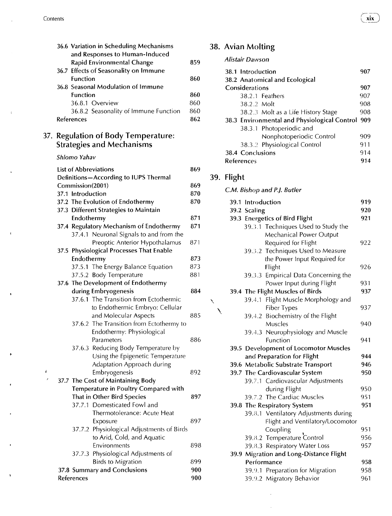| 36.6 Variation in Scheduling Mechanisms |     |
|-----------------------------------------|-----|
| and Responses to Human-Induced          |     |
| Rapid Environmental Change              | 859 |
| 36.7 Effects of Seasonality on Immune   |     |
| <b>Function</b>                         | 860 |
| 36.8 Seasonal Modulation of Immune      |     |
| Function                                | 860 |
| 36.8.1 Overview                         | 860 |
| 36.8.2 Seasonality of Immune Function   | 860 |
| <b>References</b>                       | 862 |

### 37. Regulation of Body Temperature: Strategies and Mechanisms

#### *Shlomo Yahav*

 $\mathfrak{g}$  $\overline{1}$ 

|                   | <b>List of Abbreviations</b>              | 869 |
|-------------------|-------------------------------------------|-----|
|                   | Definitions-According to IUPS Thermal     |     |
| Commission(2001)  |                                           | 869 |
| 37.1 Introduction |                                           | 870 |
|                   | 37.2 The Evolution of Endothermy          | 870 |
|                   | 37.3 Different Strategies to Maintain     |     |
| Endothermy        |                                           | 871 |
|                   | 37.4 Regulatory Mechanism of Endothermy   | 871 |
|                   | 37.4.1 Neuronal Signals to and from the   |     |
|                   | Preoptic Anterior Hypothalamus            | 871 |
|                   | 37.5 Physiological Processes That Enable  |     |
| Endothermy        |                                           | 873 |
|                   | 37.5.1 The Energy Balance Equation        | 873 |
|                   | 37.5.2 Body Temperature                   | 881 |
|                   | 37.6 The Development of Endothermy        |     |
|                   | during Embryogenesis                      | 884 |
|                   | 37.6.1 The Transition from Ectothermic    |     |
|                   | to Endothermic Embryo: Cellular           |     |
|                   | and Molecular Aspects                     | 885 |
|                   | 37.6.2 The Transition from Ectothermy to  |     |
|                   | Endothermy: Physiological                 |     |
|                   | Parameters                                | 886 |
|                   | 37.6.3 Reducing Body Temperature by       |     |
|                   | Using the Epigenetic Temperature          |     |
|                   | Adaptation Approach during                |     |
|                   | Embryogenesis                             | 892 |
|                   | 37.7 The Cost of Maintaining Body         |     |
|                   | Temperature in Poultry Compared with      |     |
|                   | That in Other Bird Species                | 897 |
|                   | 37.7.1 Domesticated Fowl and              |     |
|                   | Thermotolerance: Acute Heat               |     |
|                   | Exposure                                  | 897 |
|                   | 37.7.2 Physiological Adjustments of Birds |     |
|                   | to Arid, Cold, and Aquatic                |     |
|                   | Environments                              | 898 |
|                   | 37.7.3 Physiological Adjustments of       |     |
|                   | <b>Birds to Migration</b>                 | 899 |
|                   | 37.8 Summary and Conclusions              | 900 |
| References        |                                           | 900 |
|                   |                                           |     |

### 38. Avian Molting

*Alistair Dawson* 

| 38.1 Introduction                                | 907 |
|--------------------------------------------------|-----|
| 38.2 Anatomical and Ecological                   |     |
| Considerations                                   | 907 |
| 38.2.1 Feathers                                  | 907 |
| 38.2.2 Molt                                      | 908 |
| 38.2.3 Molt as a Life History Stage              | 908 |
| 38.3 Environmental and Physiological Control 909 |     |
| 38.3.1 Photoperiodic and                         |     |
| Nonphotoperiodic Control                         | 909 |
| 38.3.2 Physiological Control                     | 911 |
| 38.4 Conclusions                                 | 914 |
| <b>References</b>                                | 914 |

### 39. Flight

|                   | C.M. Bishop and P.J. Butler |                                       |     |
|-------------------|-----------------------------|---------------------------------------|-----|
| 39.1 Introduction |                             |                                       | 919 |
|                   | 39.2 Scaling                |                                       | 920 |
|                   |                             | 39.3 Energetics of Bird Flight        | 921 |
|                   |                             | 39.3.1 Techniques Used to Study the   |     |
|                   |                             | Mechanical Power Output               |     |
|                   |                             | Required for Flight                   | 922 |
|                   |                             | 39.3.2 Techniques Used to Measure     |     |
|                   |                             | the Power Input Required for          |     |
|                   |                             | Flight                                | 926 |
|                   |                             | 39.3.3 Empirical Data Concerning the  |     |
|                   |                             | Power Input during Flight             | 931 |
|                   |                             | 39.4 The Flight Muscles of Birds      | 937 |
|                   |                             | 39.4.1 Flight Muscle Morphology and   |     |
|                   |                             | <b>Fiber Types</b>                    | 937 |
|                   | 39.4.2                      | Biochemistry of the Flight            |     |
|                   |                             | Muscles                               | 940 |
|                   | 39.4.3                      | Neurophysiology and Muscle            |     |
|                   |                             | Function                              | 941 |
|                   |                             | 39.5 Development of Locomotor Muscles |     |
|                   |                             | and Preparation for Flight            | 944 |
|                   |                             | 39.6 Metabolic Substrate Transport    | 946 |
|                   |                             | 39.7 The Cardiovascular System        | 950 |
|                   |                             | 39.7.1 Cardiovascular Adjustments     |     |
|                   |                             | during Flight                         | 950 |
|                   |                             | 39.7.2 The Cardiac Muscles            | 951 |
|                   |                             | 39.8 The Respiratory System           | 951 |
|                   |                             | 39.8.1 Ventilatory Adjustments during |     |
|                   |                             | Flight and Ventilatory/Locomotor      |     |
|                   |                             | Coupling                              | 951 |
|                   |                             | 39.8.2 Temperature Control            | 956 |
|                   |                             | 39.8.3 Respiratory Water Loss         | 957 |
| 39.9              |                             | Migration and Long-Distance Flight    |     |
|                   | Performance                 |                                       | 958 |
|                   |                             | 39.9.1 Preparation for Migration      | 958 |
|                   |                             | 39.9.2 Migratory Behavior             | 961 |